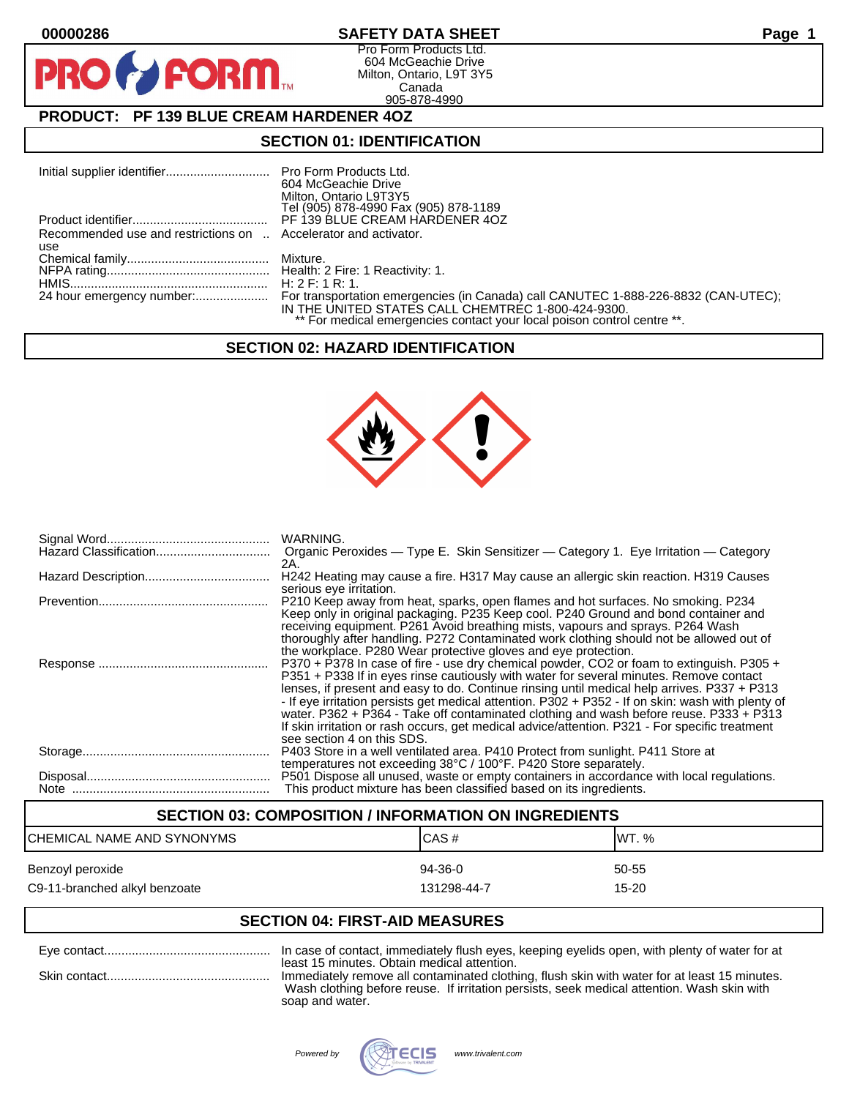**PIR** 

# **00000286 SAFETY DATA SHEET Page 1**

Pro Form Products Ltd. 604 McGeachie Drive Milton, Ontario, L9T 3Y5 Canada 905-878-4990

# **PRODUCT: PF 139 BLUE CREAM HARDENER 4OZ**

**FORM.** 

# **SECTION 01: IDENTIFICATION**

|                                                                 | 604 McGeachie Drive                                                     |
|-----------------------------------------------------------------|-------------------------------------------------------------------------|
|                                                                 | Milton, Ontario L9T3Y5                                                  |
|                                                                 | Tel (905) 878-4990 Fax (905) 878-1189                                   |
|                                                                 | PF 139 BLUE CREAM HARDENER 4OZ                                          |
| Recommended use and restrictions on  Accelerator and activator. |                                                                         |
| use                                                             |                                                                         |
|                                                                 |                                                                         |
|                                                                 |                                                                         |
|                                                                 |                                                                         |
|                                                                 | IN THE UNITED STATES CALL CHEMTREC 1-800-424-9300.                      |
|                                                                 | ** For medical emergencies contact your local poison control centre **. |

## **SECTION 02: HAZARD IDENTIFICATION**



| WARNING.<br>Organic Peroxides — Type E. Skin Sensitizer — Category 1. Eye Irritation — Category<br>2A.                                                                                                                                                                                                                                                                                                                                                                                                                                                                                                           |
|------------------------------------------------------------------------------------------------------------------------------------------------------------------------------------------------------------------------------------------------------------------------------------------------------------------------------------------------------------------------------------------------------------------------------------------------------------------------------------------------------------------------------------------------------------------------------------------------------------------|
| H242 Heating may cause a fire. H317 May cause an allergic skin reaction. H319 Causes                                                                                                                                                                                                                                                                                                                                                                                                                                                                                                                             |
| serious eye irritation.<br>P210 Keep away from heat, sparks, open flames and hot surfaces. No smoking. P234<br>Keep only in original packaging. P235 Keep cool. P240 Ground and bond container and<br>receiving equipment. P261 Avoid breathing mists, vapours and sprays. P264 Wash<br>thoroughly after handling. P272 Contaminated work clothing should not be allowed out of<br>the workplace. P280 Wear protective gloves and eye protection.                                                                                                                                                                |
| P370 + P378 In case of fire - use dry chemical powder, CO2 or foam to extinguish. P305 +<br>P351 + P338 If in eyes rinse cautiously with water for several minutes. Remove contact<br>lenses, if present and easy to do. Continue rinsing until medical help arrives. P337 + P313<br>- If eye irritation persists get medical attention. P302 + P352 - If on skin: wash with plenty of<br>water. P362 + P364 - Take off contaminated clothing and wash before reuse. P333 + P313<br>If skin irritation or rash occurs, get medical advice/attention. P321 - For specific treatment<br>see section 4 on this SDS. |
| P403 Store in a well ventilated area. P410 Protect from sunlight. P411 Store at<br>temperatures not exceeding 38°C / 100°F. P420 Store separately.                                                                                                                                                                                                                                                                                                                                                                                                                                                               |
| P501 Dispose all unused, waste or empty containers in accordance with local regulations.<br>This product mixture has been classified based on its ingredients.                                                                                                                                                                                                                                                                                                                                                                                                                                                   |

# **SECTION 03: COMPOSITION / INFORMATION ON INGREDIENTS** CHEMICAL NAME AND SYNONYMS CHEMICAL NAME AND SYNONYMS Benzoyl peroxide 60-55 states and the state of the 94-36-0 states of the 50-55 states of the  $\frac{94-36-0}{2}$ C9-11-branched alkyl benzoate 15-20 and the 131298-44-7 control in the 15-20

# **SECTION 04: FIRST-AID MEASURES**

| least 15 minutes. Obtain medical attention.<br>Immediately remove all contaminated clothing, flush skin with water for at least 15 minutes. |
|---------------------------------------------------------------------------------------------------------------------------------------------|
| Wash clothing before reuse. If irritation persists, seek medical attention. Wash skin with                                                  |
| soap and water.                                                                                                                             |

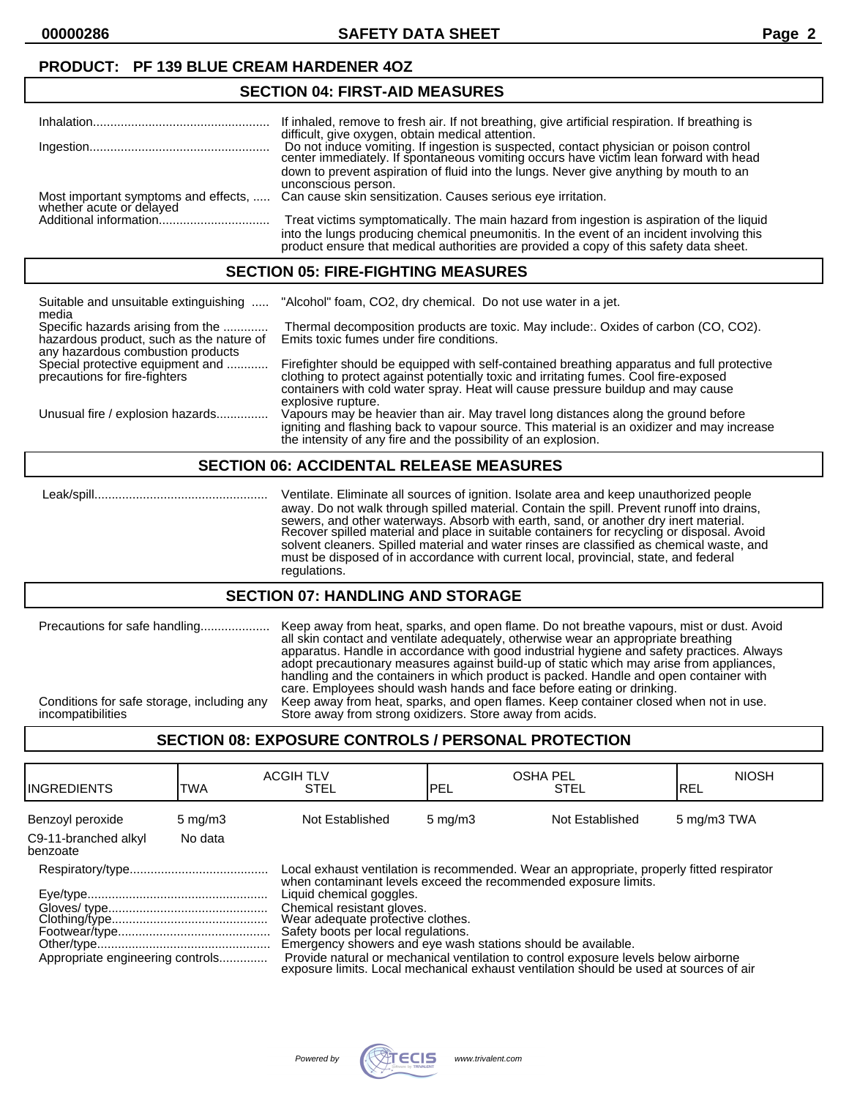**00000286 SAFETY DATA SHEET Page 2**

## **PRODUCT: PF 139 BLUE CREAM HARDENER 4OZ**

## **SECTION 04: FIRST-AID MEASURES**

|                                      | If inhaled, remove to fresh air. If not breathing, give artificial respiration. If breathing is |
|--------------------------------------|-------------------------------------------------------------------------------------------------|
|                                      | difficult, give oxygen, obtain medical attention.                                               |
|                                      | Do not induce vomiting. If ingestion is suspected, contact physician or poison control          |
|                                      | center immediately. If spontaneous vomiting occurs have victim lean forward with head           |
|                                      | down to prevent aspiration of fluid into the lungs. Never give anything by mouth to an          |
|                                      | unconscious person.                                                                             |
| Most important symptoms and effects, | Can cause skin sensitization. Causes serious eye irritation.                                    |
| whether acute or delayed             |                                                                                                 |
| Additional information               | Treat victims symptomatically. The main hazard from ingestion is aspiration of the liquid       |
|                                      | into the lungs producing chemical pneumonitis. In the event of an incident involving this       |
|                                      | product ensure that medical authorities are provided a copy of this safety data sheet.          |

#### **SECTION 05: FIRE-FIGHTING MEASURES**

| Suitable and unsuitable extinguishing<br>media                                                                     | "Alcohol" foam, CO2, dry chemical. Do not use water in a jet.                                                                                                                                                                                                                                 |
|--------------------------------------------------------------------------------------------------------------------|-----------------------------------------------------------------------------------------------------------------------------------------------------------------------------------------------------------------------------------------------------------------------------------------------|
| Specific hazards arising from the<br>hazardous product, such as the nature of<br>any hazardous combustion products | Thermal decomposition products are toxic. May include: Oxides of carbon (CO, CO2).<br>Emits toxic fumes under fire conditions.                                                                                                                                                                |
| Special protective equipment and<br>precautions for fire-fighters                                                  | Firefighter should be equipped with self-contained breathing apparatus and full protective<br>clothing to protect against potentially toxic and irritating fumes. Cool fire-exposed<br>containers with cold water spray. Heat will cause pressure buildup and may cause<br>explosive rupture. |
| Unusual fire / explosion hazards                                                                                   | Vapours may be heavier than air. May travel long distances along the ground before<br>igniting and flashing back to vapour source. This material is an oxidizer and may increase<br>the intensity of any fire and the possibility of an explosion.                                            |

#### **SECTION 06: ACCIDENTAL RELEASE MEASURES**

 Leak/spill.................................................. Ventilate. Eliminate all sources of ignition. Isolate area and keep unauthorized people away. Do not walk through spilled material. Contain the spill. Prevent runoff into drains, sewers, and other waterways. Absorb with earth, sand, or another dry inert material. Recover spilled material and place in suitable containers for recycling or disposal. Avoid solvent cleaners. Spilled material and water rinses are classified as chemical waste, and must be disposed of in accordance with current local, provincial, state, and federal regulations.

#### **SECTION 07: HANDLING AND STORAGE**

| Precautions for safe handling<br>Conditions for safe storage, including any | Keep away from heat, sparks, and open flame. Do not breathe vapours, mist or dust. Avoid<br>all skin contact and ventilate adequately, otherwise wear an appropriate breathing<br>apparatus. Handle in accordance with good industrial hygiene and safety practices. Always<br>adopt precautionary measures against build-up of static which may arise from appliances,<br>handling and the containers in which product is packed. Handle and open container with<br>care. Employees should wash hands and face before eating or drinking. |
|-----------------------------------------------------------------------------|--------------------------------------------------------------------------------------------------------------------------------------------------------------------------------------------------------------------------------------------------------------------------------------------------------------------------------------------------------------------------------------------------------------------------------------------------------------------------------------------------------------------------------------------|
| incompatibilities                                                           | Keep away from heat, sparks, and open flames. Keep container closed when not in use.<br>Store away from strong oxidizers. Store away from acids.                                                                                                                                                                                                                                                                                                                                                                                           |

## **SECTION 08: EXPOSURE CONTROLS / PERSONAL PROTECTION**

| <b>I</b> INGREDIENTS             | TWA              | <b>ACGIH TLV</b><br><b>STEL</b>                                                                                                                                                                                                                                                                                                                                                                                                                                                                                                                     | <b>OSHA PEL</b><br>PEL | <b>STEL</b>     | <b>NIOSH</b><br>IREL |
|----------------------------------|------------------|-----------------------------------------------------------------------------------------------------------------------------------------------------------------------------------------------------------------------------------------------------------------------------------------------------------------------------------------------------------------------------------------------------------------------------------------------------------------------------------------------------------------------------------------------------|------------------------|-----------------|----------------------|
| Benzoyl peroxide                 | $5 \text{ mg/m}$ | Not Established                                                                                                                                                                                                                                                                                                                                                                                                                                                                                                                                     | $5 \text{ mg/m}$       | Not Established | 5 mg/m3 TWA          |
| C9-11-branched alkyl<br>benzoate | No data          |                                                                                                                                                                                                                                                                                                                                                                                                                                                                                                                                                     |                        |                 |                      |
| Appropriate engineering controls |                  | Local exhaust ventilation is recommended. Wear an appropriate, properly fitted respirator<br>when contaminant levels exceed the recommended exposure limits.<br>Liquid chemical goggles.<br>Chemical resistant gloves.<br>Wear adequate profective clothes.<br>Safety boots per local regulations.<br>Emergency showers and eye wash stations should be available.<br>Provide natural or mechanical ventilation to control exposure levels below airborne<br>exposure limits. Local mechanical exhaust ventilation should be used at sources of air |                        |                 |                      |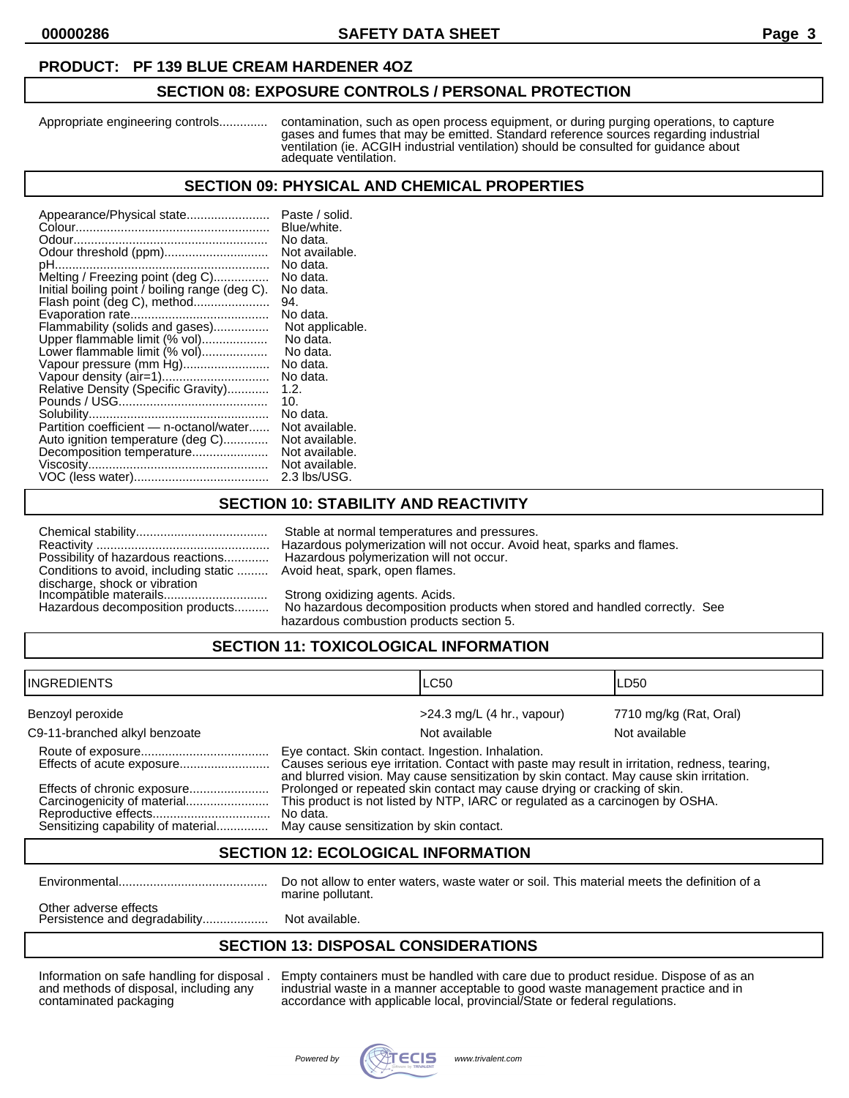#### **PRODUCT: PF 139 BLUE CREAM HARDENER 4OZ**

#### **SECTION 08: EXPOSURE CONTROLS / PERSONAL PROTECTION**

Appropriate engineering controls.............. contamination, such as open process equipment, or during purging operations, to capture gases and fumes that may be emitted. Standard reference sources regarding industrial ventilation (ie. ACGIH industrial ventilation) should be consulted for guidance about adequate ventilation.

#### **SECTION 09: PHYSICAL AND CHEMICAL PROPERTIES**

| Appearance/Physical state                      | Paste / solid.  |
|------------------------------------------------|-----------------|
|                                                | Blue/white.     |
|                                                | No data.        |
| Odour threshold (ppm)                          | Not available.  |
|                                                | No data.        |
| Melting / Freezing point (deg C)               | No data.        |
| Initial boiling point / boiling range (deg C). | No data.        |
| Flash point (deg C), method                    | 94.             |
|                                                | No data.        |
| Flammability (solids and gases)                | Not applicable. |
| Upper flammable limit (% vol)                  | No data.        |
| Lower flammable limit (% vol)                  | No data.        |
| Vapour pressure (mm Hg)                        | No data.        |
| Vapour density (air=1)                         | No data.        |
| Relative Density (Specific Gravity)            | 1.2.            |
|                                                | 10.             |
|                                                | No data.        |
| Partition coefficient - n-octanol/water        | Not available.  |
| Auto ignition temperature (deg C)              | Not available.  |
| Decomposition temperature                      | Not available.  |
|                                                | Not available.  |
|                                                | 2.3 lbs/USG.    |

## **SECTION 10: STABILITY AND REACTIVITY**

| Possibility of hazardous reactions                      |
|---------------------------------------------------------|
| Conditions to avoid, including static                   |
| discharge, shock or vibration<br>Incompatible materails |
|                                                         |
| the consideration of a second contribution and changes. |

Stable at normal temperatures and pressures. Reactivity .................................................. Hazardous polymerization will not occur. Avoid heat, sparks and flames. Hazardous polymerization will not occur. Avoid heat, spark, open flames.

Strong oxidizing agents. Acids.

Hazardous decomposition products.......... No hazardous decomposition products when stored and handled correctly. See hazardous combustion products section 5.

# **SECTION 11: TOXICOLOGICAL INFORMATION**

| IINGREDIENTS                                                      |                                                                                                                                                                                                                                               | ILC50                        | LD50                   |
|-------------------------------------------------------------------|-----------------------------------------------------------------------------------------------------------------------------------------------------------------------------------------------------------------------------------------------|------------------------------|------------------------|
| Benzoyl peroxide                                                  |                                                                                                                                                                                                                                               | $>24.3$ mg/L (4 hr., vapour) | 7710 mg/kg (Rat, Oral) |
| C9-11-branched alkyl benzoate                                     |                                                                                                                                                                                                                                               | Not available                | Not available          |
| Effects of acute exposure                                         | Eye contact. Skin contact. Ingestion. Inhalation.<br>Causes serious eye irritation. Contact with paste may result in irritation, redness, tearing,<br>and blurred vision. May cause sensitization by skin contact. May cause skin irritation. |                              |                        |
| Effects of chronic exposure<br>Sensitizing capability of material | Prolonged or repeated skin contact may cause drying or cracking of skin.<br>This product is not listed by NTP, IARC or regulated as a carcinogen by OSHA.<br>No data.<br>May cause sensitization by skin contact.                             |                              |                        |

#### **SECTION 12: ECOLOGICAL INFORMATION**

Environmental........................................... Do not allow to enter waters, waste water or soil. This material meets the definition of a marine pollutant.

Other adverse effects Persistence and degradability......................... Not available.

## **SECTION 13: DISPOSAL CONSIDERATIONS**

Information on safe handling for disposal . Empty containers must be handled with care due to product residue. Dispose of as an and methods of disposal, including any industrial waste in a manner acceptable to good waste management practice and in contaminated packaging accordance with applicable local, provincial/State or federal regulations.